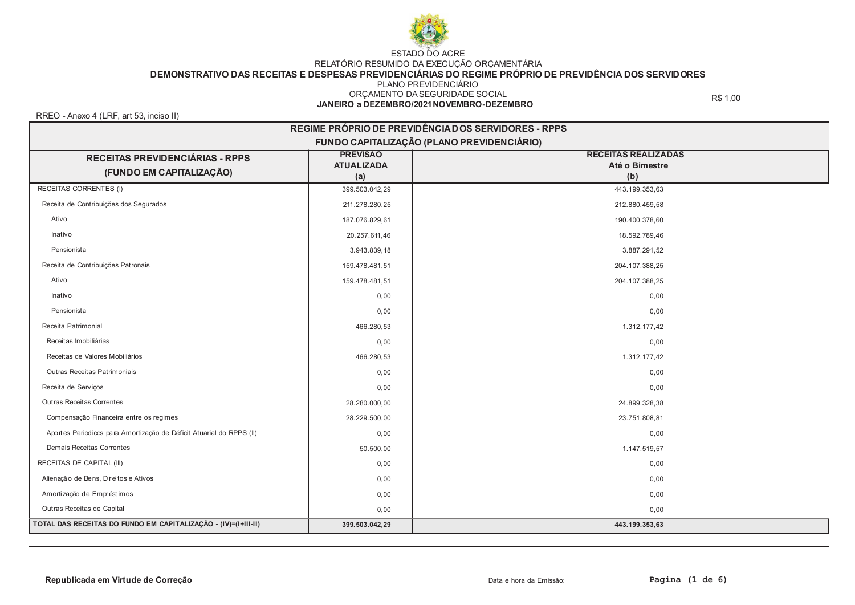

# ESTADO DO ACRE RELATÓRIO RESUMIDO DA EXECUÇÃO ORÇAMENTÁRIA<br>DEMONSTRATIVO DAS RECEITAS E DESPESAS PREVIDENCIÁRIAS DO REGIME PRÓPRIO DE PREVIDÊNCIA DOS SERVIDORES PLANO PREVIDENCIÁRIO ORÇAMENTO DA SEGURIDADE SOCIAL JANEIRO a DEZEMBRO/2021 NOVEMBRO-DEZEMBRO

R\$ 1,00

RREO - Anexo 4 (LRF, art 53, inciso II)

| REGIME PRÓPRIO DE PREVIDÊNCIADOS SERVIDORES - RPPS                   |                          |                            |  |  |  |  |  |
|----------------------------------------------------------------------|--------------------------|----------------------------|--|--|--|--|--|
| FUNDO CAPITALIZAÇÃO (PLANO PREVIDENCIÁRIO)                           |                          |                            |  |  |  |  |  |
| <b>RECEITAS PREVIDENCIÁRIAS - RPPS</b>                               | <b>PREVISÃO</b>          | <b>RECEITAS REALIZADAS</b> |  |  |  |  |  |
| (FUNDO EM CAPITALIZAÇÃO)                                             | <b>ATUALIZADA</b><br>(a) | Até o Bimestre<br>(b)      |  |  |  |  |  |
| <b>RECEITAS CORRENTES (I)</b>                                        | 399.503.042,29           | 443.199.353,63             |  |  |  |  |  |
| Receita de Contribuições dos Segurados                               | 211.278.280,25           | 212.880.459,58             |  |  |  |  |  |
| Ativo                                                                | 187.076.829,61           | 190.400.378,60             |  |  |  |  |  |
| Inativo                                                              | 20.257.611,46            | 18.592.789,46              |  |  |  |  |  |
| Pensionista                                                          | 3.943.839,18             | 3.887.291,52               |  |  |  |  |  |
| Receita de Contribuições Patronais                                   | 159.478.481,51           | 204.107.388,25             |  |  |  |  |  |
| Ativo                                                                | 159.478.481,51           | 204.107.388,25             |  |  |  |  |  |
| Inativo                                                              | 0,00                     | 0,00                       |  |  |  |  |  |
| Pensionista                                                          | 0,00                     | 0,00                       |  |  |  |  |  |
| Receita Patrimonial                                                  | 466.280,53               | 1.312.177,42               |  |  |  |  |  |
| Receitas Imobiliárias                                                | 0,00                     | 0,00                       |  |  |  |  |  |
| Receitas de Valores Mobiliários                                      | 466.280,53               | 1.312.177,42               |  |  |  |  |  |
| Outras Receitas Patrimoniais                                         | 0,00                     | 0,00                       |  |  |  |  |  |
| Receita de Serviços                                                  | 0,00                     | 0,00                       |  |  |  |  |  |
| <b>Outras Receitas Correntes</b>                                     | 28.280.000,00            | 24.899.328,38              |  |  |  |  |  |
| Compensação Financeira entre os regimes                              | 28.229.500,00            | 23.751.808,81              |  |  |  |  |  |
| Aportes Periodicos para Amortização de Déficit Atuarial do RPPS (II) | 0,00                     | 0,00                       |  |  |  |  |  |
| Demais Receitas Correntes                                            | 50.500,00                | 1.147.519,57               |  |  |  |  |  |
| RECEITAS DE CAPITAL (III)                                            | 0,00                     | 0,00                       |  |  |  |  |  |
| Alienação de Bens, Direitos e Ativos                                 | 0,00                     | 0,00                       |  |  |  |  |  |
| Amortização de Empréstimos                                           | 0,00                     | 0,00                       |  |  |  |  |  |
| Outras Receitas de Capital                                           | 0,00                     | 0,00                       |  |  |  |  |  |
| TOTAL DAS RECEITAS DO FUNDO EM CAPITALIZAÇÃO - (IV)=(I+III-II)       | 399.503.042,29           | 443.199.353,63             |  |  |  |  |  |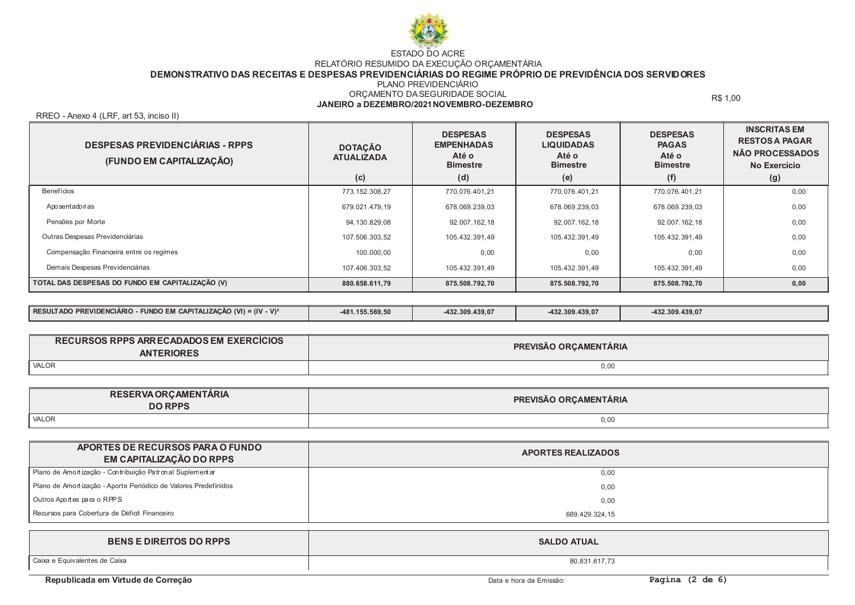

# ESTADO DO ACRE RELATÓRIO RESUMIDO DA EXECUÇÃO ORÇAMENTÁRIA<br>DEMONSTRATIVO DAS RECEITAS E DESPESAS PREVIDENCIÁRIAS DO REGIME PRÓPRIO DE PREVIDÊNCIA DOS SERVIDORES PLANO PREVIDENCIÁRIO ORÇAMENTO DA SEGURIDADE SOCIAL

# JANEIRO a DEZEMBRO/2021 NOVEMBRO-DEZEMBRO

R\$ 1,00

RREO - Anexo 4 (LRF, art 53, inciso II)

| <b>DESPESAS PREVIDENCIÁRIAS - RPPS</b><br>(FUNDO EM CAPITALIZAÇÃO) | <b>DOTAÇÃO</b><br><b>ATUALIZADA</b> | <b>DESPESAS</b><br><b>EMPENHADAS</b><br>Até o<br><b>Bimestre</b> | <b>DESPESAS</b><br><b>LIQUIDADAS</b><br>Até o<br><b>Bimestre</b> | <b>DESPESAS</b><br><b>PAGAS</b><br>Até o<br><b>Bimestre</b> | <b>INSCRITAS EM</b><br><b>RESTOS A PAGAR</b><br><b>NÃO PROCESSADOS</b><br>No Exercício |
|--------------------------------------------------------------------|-------------------------------------|------------------------------------------------------------------|------------------------------------------------------------------|-------------------------------------------------------------|----------------------------------------------------------------------------------------|
|                                                                    | (c)                                 | (d)                                                              | (e)                                                              | (f)                                                         | (g)                                                                                    |
| Benefícios                                                         | 773.152.308.27                      | 770.076.401.21                                                   | 770.076.401.21                                                   | 770.076.401.21                                              | 0,00                                                                                   |
| Aposentadorias                                                     | 679.021.479.19                      | 678.069.239,03                                                   | 678.069.239,03                                                   | 678.069.239,03                                              | 0,00                                                                                   |
| Pensões por Morte                                                  | 94.130.829.08                       | 92.007.162.18                                                    | 92.007.162.18                                                    | 92.007.162.18                                               | 0,00                                                                                   |
| Outras Despesas Previdenciárias                                    | 107.506.303,52                      | 105.432.391,49                                                   | 105.432.391,49                                                   | 105.432.391,49                                              | 0,00                                                                                   |
| Compensação Financeira entre os regimes                            | 100.000.00                          | 0.00                                                             | 0.00                                                             | 0.00                                                        | 0,00                                                                                   |
| Demais Despesas Previdenciárias                                    | 107.406.303,52                      | 105.432.391,49                                                   | 105.432.391,49                                                   | 105.432.391,49                                              | 0,00                                                                                   |
| TOTAL DAS DESPESAS DO FUNDO EM CAPITALIZAÇÃO (V)                   | 880.658.611.79                      | 875.508.792.70                                                   | 875.508.792.70                                                   | 875.508.792.70                                              | 0,00                                                                                   |

| RESULTADO<br>TO PREVIDENCIARIO - FUNDO EM CAPITALIZAÇÃO (VI) = $(IV - V)^2$ | 155.569.50 | -432.309.439.07 | 132.309.439.07<br>432.4 | the contract of the contract of the contract of the contract of the contract of the contract of the contract of<br>-432.309.439.07 |  |
|-----------------------------------------------------------------------------|------------|-----------------|-------------------------|------------------------------------------------------------------------------------------------------------------------------------|--|
|-----------------------------------------------------------------------------|------------|-----------------|-------------------------|------------------------------------------------------------------------------------------------------------------------------------|--|

| RECURSOS RPPS ARRECADADOS EM EXERCÍCIOS<br><b>ANTERIORES</b> | <b>PREVISÃO ORÇAMENTÁRIA</b> |
|--------------------------------------------------------------|------------------------------|
| <b>VALOR</b>                                                 | 0,00                         |

| <b>RESERVA ORÇAMENTARIA</b><br><b>DO RPPS</b> | <b>PREVISÃO ORÇAMENTÁRIA</b> |
|-----------------------------------------------|------------------------------|
| <b>VALOR</b>                                  | 0,00                         |

| APORTES DE RECURSOS PARA O FUNDO<br><b>EM CAPITALIZAÇÃO DO RPPS</b> | <b>APORTES REALIZADOS</b> |  |
|---------------------------------------------------------------------|---------------------------|--|
| Plano de Amortização - Contribuição Patronal Suplementar            | 0,00                      |  |
| Plano de Amortização - Aporte Periódico de Valores Predefinidos     | 0,00                      |  |
| Outros Aportes para o RPPS                                          | 0,00                      |  |
| Recursos para Cobertura de Déficit Financeiro                       | 689.429.324,15            |  |

| <b>BENS E DIREITOS DO RPPS</b> | <b>SALDO ATUAL</b> |
|--------------------------------|--------------------|
| Caixa e Equivalentes de Caixa  | 80.831.617,73      |

Republicada em Virtude de Correção

Data e hora da Emissão: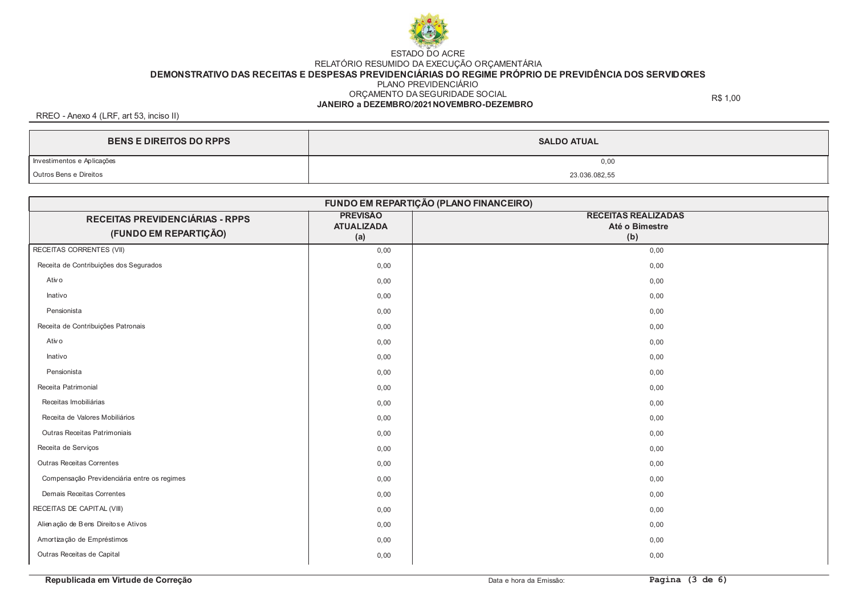

# ESTADO DO ACRE RELATÓRIO RESUMIDO DA EXECUÇÃO ORÇAMENTÁRIA<br>DEMONSTRATIVO DAS RECEITAS E DESPESAS PREVIDENCIÁRIAS DO REGIME PRÓPRIO DE PREVIDÊNCIA DOS SERVIDORES PLANO PREVIDENCIÁRIO ORÇAMENTO DA SEGURIDADE SOCIAL JANEIRO a DEZEMBRO/2021 NOVEMBRO-DEZEMBRO

R\$ 1,00

RREO - Anexo 4 (LRF, art 53, inciso II)

| <b>BENS E DIREITOS DO RPPS</b> | <b>SALDO ATUAL</b> |  |
|--------------------------------|--------------------|--|
| Investimentos e Aplicações     | 0,00               |  |
| Outros Bens e Direitos         | 23.036.082,55      |  |

| FUNDO EM REPARTIÇÃO (PLANO FINANCEIRO)      |                                      |                                              |  |  |  |
|---------------------------------------------|--------------------------------------|----------------------------------------------|--|--|--|
| RECEITAS PREVIDENCIÁRIAS - RPPS             | <b>PREVISÃO</b><br><b>ATUALIZADA</b> | <b>RECEITAS REALIZADAS</b><br>Até o Bimestre |  |  |  |
| (FUNDO EM REPARTIÇÃO)                       | (a)                                  | (b)                                          |  |  |  |
| RECEITAS CORRENTES (VII)                    | 0,00                                 | 0,00                                         |  |  |  |
| Receita de Contribuições dos Segurados      | 0,00                                 | 0,00                                         |  |  |  |
| Ativ o                                      | 0,00                                 | 0,00                                         |  |  |  |
| Inativo                                     | 0,00                                 | 0,00                                         |  |  |  |
| Pensionista                                 | 0,00                                 | 0,00                                         |  |  |  |
| Receita de Contribuições Patronais          | 0,00                                 | 0,00                                         |  |  |  |
| Ativ o                                      | 0,00                                 | 0,00                                         |  |  |  |
| Inativo                                     | 0,00                                 | 0,00                                         |  |  |  |
| Pensionista                                 | 0,00                                 | 0,00                                         |  |  |  |
| Receita Patrimonial                         | 0,00                                 | 0,00                                         |  |  |  |
| Receitas Imobiliárias                       | 0,00                                 | 0,00                                         |  |  |  |
| Receita de Valores Mobiliários              | 0,00                                 | 0,00                                         |  |  |  |
| Outras Receitas Patrimoniais                | 0,00                                 | 0,00                                         |  |  |  |
| Receita de Serviços                         | 0,00                                 | 0,00                                         |  |  |  |
| <b>Outras Receitas Correntes</b>            | 0,00                                 | 0,00                                         |  |  |  |
| Compensação Previdenciária entre os regimes | 0,00                                 | 0,00                                         |  |  |  |
| Demais Receitas Correntes                   | 0,00                                 | 0,00                                         |  |  |  |
| RECEITAS DE CAPITAL (VIII)                  | 0,00                                 | 0,00                                         |  |  |  |
| Alienação de Bens Direitos e Ativos         | 0,00                                 | 0,00                                         |  |  |  |
| Amortização de Empréstimos                  | 0,00                                 | 0,00                                         |  |  |  |
| Outras Receitas de Capital                  | 0,00                                 | 0,00                                         |  |  |  |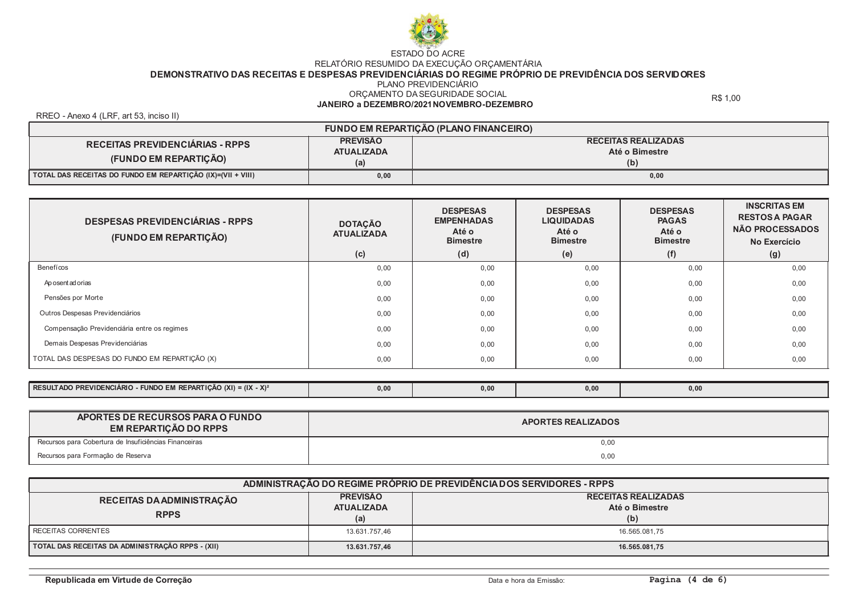

# ESTADO DO ACRE RELATÓRIO RESUMIDO DA EXECUÇÃO ORÇAMENTÁRIA<br>DEMONSTRATIVO DAS RECEITAS E DESPESAS PREVIDENCIÁRIAS DO REGIME PRÓPRIO DE PREVIDÊNCIA DOS SERVIDORES PLANO PREVIDENCIÁRIO ORÇAMENTO DA SEGURIDADE SOCIAL

### JANEIRO a DEZEMBRO/2021 NOVEMBRO-DEZEMBRO

RREO - Anexo 4 (LRF, art 53, inciso II)

| <b>FUNDO EM REPARTIÇÃO (PLANO FINANCEIRO)</b>               |                   |                            |  |  |  |
|-------------------------------------------------------------|-------------------|----------------------------|--|--|--|
| RECEITAS PREVIDENCIARIAS - RPPS                             | <b>PREVISÃO</b>   | <b>RECEITAS REALIZADAS</b> |  |  |  |
| (FUNDO EM REPARTIÇÃO)                                       | <b>ATUALIZADA</b> | Até o Bimestre             |  |  |  |
|                                                             |                   | (b)                        |  |  |  |
| TOTAL DAS RECEITAS DO FUNDO EM REPARTIÇÃO (IX)=(VII + VIII) | 0,00              | 0,00                       |  |  |  |

| <b>DESPESAS PREVIDENCIÁRIAS - RPPS</b><br>(FUNDO EM REPARTIÇÃO) | <b>DOTAÇÃO</b><br><b>ATUALIZADA</b> | <b>DESPESAS</b><br><b>EMPENHADAS</b><br>Até o<br><b>Bimestre</b> | <b>DESPESAS</b><br><b>LIQUIDADAS</b><br>Até o<br><b>Bimestre</b> | <b>DESPESAS</b><br><b>PAGAS</b><br>Até o<br><b>Bimestre</b> | <b>INSCRITAS EM</b><br><b>RESTOS A PAGAR</b><br><b>NÃO PROCESSADOS</b><br>No Exercício |
|-----------------------------------------------------------------|-------------------------------------|------------------------------------------------------------------|------------------------------------------------------------------|-------------------------------------------------------------|----------------------------------------------------------------------------------------|
|                                                                 | (c)                                 | (d)                                                              | (e)                                                              | (f)                                                         | (g)                                                                                    |
| Benefícos                                                       | 0,00                                | 0.00                                                             | 0,00                                                             | 0,00                                                        | 0,00                                                                                   |
| Ap osent ad orias                                               | 0.00                                | 0,00                                                             | 0,00                                                             | 0,00                                                        | 0,00                                                                                   |
| Pensões por Morte                                               | 0.00                                | 0,00                                                             | 0,00                                                             | 0,00                                                        | 0,00                                                                                   |
| Outros Despesas Previdenciários                                 | 0.00                                | 0,00                                                             | 0,00                                                             | 0,00                                                        | 0,00                                                                                   |
| Compensação Previdenciária entre os regimes                     | 0.00                                | 0.00                                                             | 0.00                                                             | 0.00                                                        | 0,00                                                                                   |
| Demais Despesas Previdenciárias                                 | 0.00                                | 0.00                                                             | 0,00                                                             | 0,00                                                        | 0,00                                                                                   |
| TOTAL DAS DESPESAS DO FUNDO EM REPARTIÇÃO (X)                   | 0,00                                | 0,00                                                             | 0,00                                                             | 0,00                                                        | 0,00                                                                                   |
|                                                                 |                                     |                                                                  |                                                                  |                                                             |                                                                                        |

| FUNDO EM REPARTICÃO $(XI) = (IX -$<br>$-$ Y) <sup>2</sup><br>RESULTADO PREVIDENCIARIO<br>$\sim$ $\sim$ | <br>0. OO | no | 0.00 |  |
|--------------------------------------------------------------------------------------------------------|-----------|----|------|--|
|                                                                                                        |           |    |      |  |

| APORTES DE RECURSOS PARA O FUNDO<br>EM REPARTIÇÃO DO RPPS | <b>APORTES REALIZADOS</b> |
|-----------------------------------------------------------|---------------------------|
| Recursos para Cobertura de Insuficiências Financeiras     | 0,00                      |
| Recursos para Formação de Reserva                         | 0,00                      |

| ADMINISTRACAO DO REGIME PROPRIO DE PREVIDÊNCIA DOS SERVIDORES - RPPS |                                             |                                                     |  |  |  |
|----------------------------------------------------------------------|---------------------------------------------|-----------------------------------------------------|--|--|--|
| RECEITAS DA ADMINISTRAÇÃO<br><b>RPPS</b>                             | <b>PREVISÃO</b><br><b>ATUALIZADA</b><br>(a) | <b>RECEITAS REALIZADAS</b><br>Até o Bimestre<br>(b) |  |  |  |
| RECEITAS CORRENTES                                                   | 13.631.757,46                               | 16.565.081,75                                       |  |  |  |
| TOTAL DAS RECEITAS DA ADMINISTRAÇÃO RPPS - (XII)                     | 13.631.757,46                               | 16.565.081.75                                       |  |  |  |

R\$ 1,00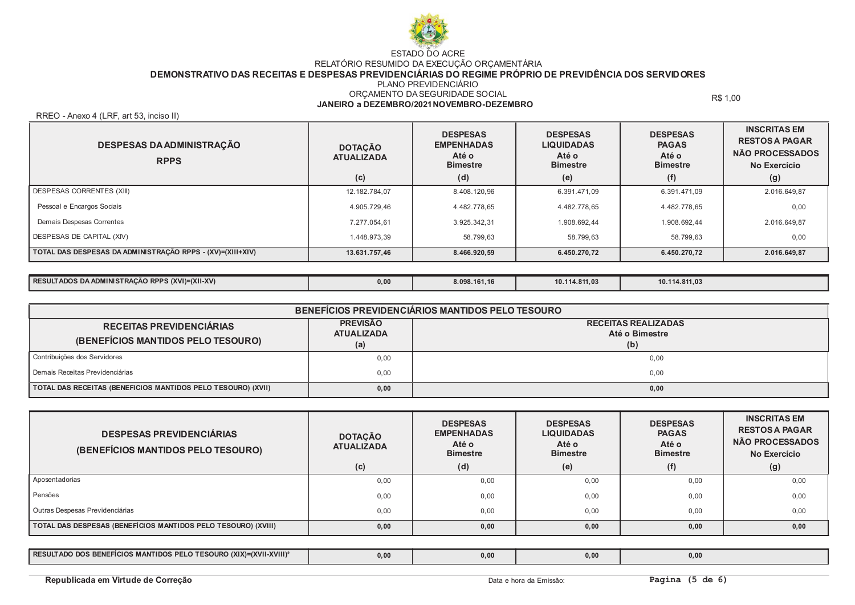

# ESTADO DO ACRE RELATÓRIO RESUMIDO DA EXECUÇÃO ORÇAMENTÁRIA<br>DEMONSTRATIVO DAS RECEITAS E DESPESAS PREVIDENCIÁRIAS DO REGIME PRÓPRIO DE PREVIDÊNCIA DOS SERVIDORES PLANO PREVIDENCIÁRIO ORÇAMENTO DA SEGURIDADE SOCIAL

# JANEIRO a DEZEMBRO/2021 NOVEMBRO-DEZEMBRO

R\$ 1,00

RREO - Anexo 4 (LRF, art 53, inciso II)

| <b>DESPESAS DA ADMINISTRAÇÃO</b><br><b>RPPS</b>            | <b>DOTAÇÃO</b><br><b>ATUALIZADA</b><br>(c) | <b>DESPESAS</b><br><b>EMPENHADAS</b><br>Até o<br><b>Bimestre</b><br>(d) | <b>DESPESAS</b><br><b>LIQUIDADAS</b><br>Até o<br><b>Bimestre</b><br>(e) | <b>DESPESAS</b><br><b>PAGAS</b><br>Até o<br><b>Bimestre</b><br>(f) | <b>INSCRITAS EM</b><br><b>RESTOS A PAGAR</b><br><b>NÃO PROCESSADOS</b><br>No Exercício<br>(g) |
|------------------------------------------------------------|--------------------------------------------|-------------------------------------------------------------------------|-------------------------------------------------------------------------|--------------------------------------------------------------------|-----------------------------------------------------------------------------------------------|
| DESPESAS CORRENTES (XIII)                                  | 12.182.784.07                              | 8.408.120.96                                                            | 6.391.471.09                                                            | 6.391.471,09                                                       | 2.016.649.87                                                                                  |
| Pessoal e Encargos Sociais                                 | 4.905.729.46                               | 4.482.778.65                                                            | 4.482.778.65                                                            | 4.482.778.65                                                       | 0,00                                                                                          |
| Demais Despesas Correntes                                  | 7.277.054,61                               | 3.925.342,31                                                            | 1.908.692,44                                                            | 1.908.692,44                                                       | 2.016.649,87                                                                                  |
| DESPESAS DE CAPITAL (XIV)                                  | 1.448.973,39                               | 58.799,63                                                               | 58.799,63                                                               | 58.799,63                                                          | 0,00                                                                                          |
| TOTAL DAS DESPESAS DA ADMINISTRAÇÃO RPPS - (XV)=(XIII+XIV) | 13.631.757.46                              | 8.466.920,59                                                            | 6.450.270,72                                                            | 6.450.270,72                                                       | 2.016.649,87                                                                                  |

| RESULTADOS DA ADMINISTRAÇÃO RPPS (XVI)=(XII-XV) | 0,00 | 8.098.161.16 | 14.811.03 | 10.114.811<br>14.811.03 |  |
|-------------------------------------------------|------|--------------|-----------|-------------------------|--|

| BENEFÍCIOS PREVIDENCIÁRIOS MANTIDOS PELO TESOURO                      |                                             |                                                     |  |  |  |
|-----------------------------------------------------------------------|---------------------------------------------|-----------------------------------------------------|--|--|--|
| <b>RECEITAS PREVIDENCIARIAS</b><br>(BENEFICIOS MANTIDOS PELO TESOURO) | <b>PREVISÃO</b><br><b>ATUALIZADA</b><br>(a) | <b>RECEITAS REALIZADAS</b><br>Até o Bimestre<br>(b) |  |  |  |
| Contribuições dos Servidores                                          | 0,00                                        | 0,00                                                |  |  |  |
| Demais Receitas Previdenciárias                                       | 0.00                                        | 0.00                                                |  |  |  |
| TOTAL DAS RECEITAS (BENEFICIOS MANTIDOS PELO TESOURO) (XVII)          | 0,00                                        | 0,00                                                |  |  |  |

| <b>DESPESAS PREVIDENCIARIAS</b><br>(BENEFÍCIOS MANTIDOS PELO TESOURO) | <b>DOTAÇÃO</b><br><b>ATUALIZADA</b><br>(c) | <b>DESPESAS</b><br><b>EMPENHADAS</b><br>Até o<br><b>Bimestre</b><br>(d) | <b>DESPESAS</b><br><b>LIQUIDADAS</b><br>Até o<br><b>Bimestre</b><br>(e) | <b>DESPESAS</b><br><b>PAGAS</b><br>Até o<br><b>Bimestre</b><br>(f) | <b>INSCRITAS EM</b><br><b>RESTOS A PAGAR</b><br><b>NÃO PROCESSADOS</b><br>No Exercício<br>(g) |
|-----------------------------------------------------------------------|--------------------------------------------|-------------------------------------------------------------------------|-------------------------------------------------------------------------|--------------------------------------------------------------------|-----------------------------------------------------------------------------------------------|
| Aposentadorias                                                        | 0.00                                       | 0.00                                                                    | 0.00                                                                    | 0,00                                                               | 0,00                                                                                          |
| Pensões                                                               | 0.00                                       | 0,00                                                                    | 0,00                                                                    | 0,00                                                               | 0,00                                                                                          |
| Outras Despesas Previdenciárias                                       | 0.00                                       | 0,00                                                                    | 0,00                                                                    | 0,00                                                               | 0,00                                                                                          |
| TOTAL DAS DESPESAS (BENEFÍCIOS MANTIDOS PELO TESOURO) (XVIII)         | 0,00                                       | 0.00                                                                    | 0,00                                                                    | 0,00                                                               | 0,00                                                                                          |

 $0,00$ 

RESULTADO DOS BENEFÍCIOS MANTIDOS PELO TESOURO (XIX)=(XVII-XVIII)<sup>2</sup>

 $0,00$ 

 $0,00$ 

 $0,00$ 

Republicada em Virtude de Correção